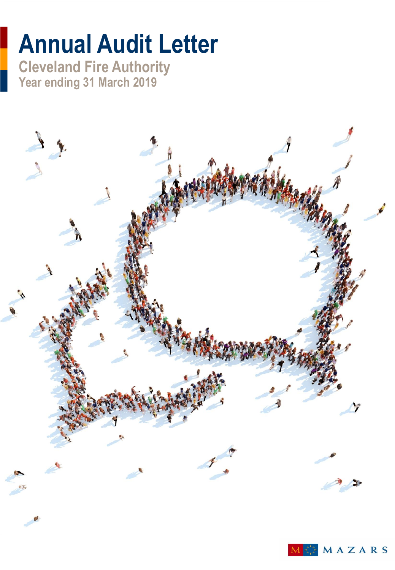# **Annual Audit Letter**

**Cleveland Fire Authority Year ending 31 March 2019**

Ţ

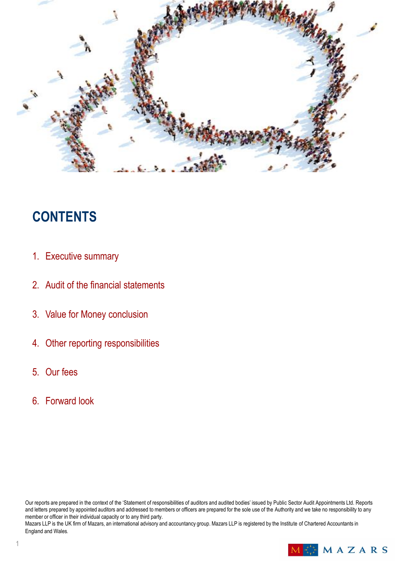

# **CONTENTS**

- 1. Executive summary
- 2. Audit of the financial statements
- 3. Value for Money conclusion
- 4. Other reporting responsibilities
- 5. Our fees
- 6. Forward look

Our reports are prepared in the context of the 'Statement of responsibilities of auditors and audited bodies' issued by Public Sector Audit Appointments Ltd. Reports and letters prepared by appointed auditors and addressed to members or officers are prepared for the sole use of the Authority and we take no responsibility to any member or officer in their individual capacity or to any third party.

Mazars LLP is the UK firm of Mazars, an international advisory and accountancy group. Mazars LLP is registered by the Institute of Chartered Accountants in England and Wales*.*

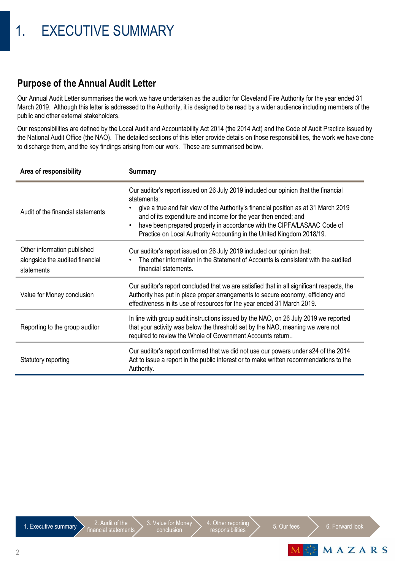### **Purpose of the Annual Audit Letter**

Our Annual Audit Letter summarises the work we have undertaken as the auditor for Cleveland Fire Authority for the year ended 31 March 2019. Although this letter is addressed to the Authority, it is designed to be read by a wider audience including members of the public and other external stakeholders.

Our responsibilities are defined by the Local Audit and Accountability Act 2014 (the 2014 Act) and the Code of Audit Practice issued by the National Audit Office (the NAO). The detailed sections of this letter provide details on those responsibilities, the work we have done to discharge them, and the key findings arising from our work. These are summarised below.

| Area of responsibility                                                       | <b>Summary</b>                                                                                                                                                                                                                                                                                                                                                                                                       |  |
|------------------------------------------------------------------------------|----------------------------------------------------------------------------------------------------------------------------------------------------------------------------------------------------------------------------------------------------------------------------------------------------------------------------------------------------------------------------------------------------------------------|--|
| Audit of the financial statements                                            | Our auditor's report issued on 26 July 2019 included our opinion that the financial<br>statements:<br>give a true and fair view of the Authority's financial position as at 31 March 2019<br>and of its expenditure and income for the year then ended; and<br>have been prepared properly in accordance with the CIPFA/LASAAC Code of<br>٠<br>Practice on Local Authority Accounting in the United Kingdom 2018/19. |  |
| Other information published<br>alongside the audited financial<br>statements | Our auditor's report issued on 26 July 2019 included our opinion that:<br>The other information in the Statement of Accounts is consistent with the audited<br>financial statements.                                                                                                                                                                                                                                 |  |
| Value for Money conclusion                                                   | Our auditor's report concluded that we are satisfied that in all significant respects, the<br>Authority has put in place proper arrangements to secure economy, efficiency and<br>effectiveness in its use of resources for the year ended 31 March 2019.                                                                                                                                                            |  |
| Reporting to the group auditor                                               | In line with group audit instructions issued by the NAO, on 26 July 2019 we reported<br>that your activity was below the threshold set by the NAO, meaning we were not<br>required to review the Whole of Government Accounts return                                                                                                                                                                                 |  |
| Statutory reporting                                                          | Our auditor's report confirmed that we did not use our powers under s24 of the 2014<br>Act to issue a report in the public interest or to make written recommendations to the<br>Authority.                                                                                                                                                                                                                          |  |

1. Executive summary  $\sum_{\text{finanical stations}}$ 

3. Value for Money conclusion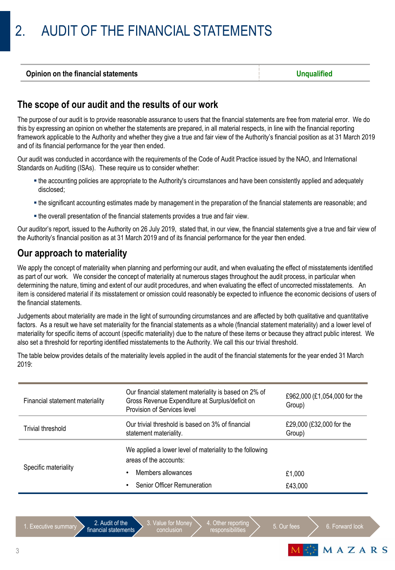### **The scope of our audit and the results of our work**

The purpose of our audit is to provide reasonable assurance to users that the financial statements are free from material error. We do this by expressing an opinion on whether the statements are prepared, in all material respects, in line with the financial reporting framework applicable to the Authority and whether they give a true and fair view of the Authority's financial position as at 31 March 2019 and of its financial performance for the year then ended.

Our audit was conducted in accordance with the requirements of the Code of Audit Practice issued by the NAO, and International Standards on Auditing (ISAs). These require us to consider whether:

- the accounting policies are appropriate to the Authority's circumstances and have been consistently applied and adequately disclosed;
- the significant accounting estimates made by management in the preparation of the financial statements are reasonable; and
- the overall presentation of the financial statements provides a true and fair view.

Our auditor's report, issued to the Authority on 26 July 2019, stated that, in our view, the financial statements give a true and fair view of the Authority's financial position as at 31 March 2019 and of its financial performance for the year then ended.

### **Our approach to materiality**

We apply the concept of materiality when planning and performing our audit, and when evaluating the effect of misstatements identified as part of our work. We consider the concept of materiality at numerous stages throughout the audit process, in particular when determining the nature, timing and extent of our audit procedures, and when evaluating the effect of uncorrected misstatements. An item is considered material if its misstatement or omission could reasonably be expected to influence the economic decisions of users of the financial statements.

Judgements about materiality are made in the light of surrounding circumstances and are affected by both qualitative and quantitative factors. As a result we have set materiality for the financial statements as a whole (financial statement materiality) and a lower level of materiality for specific items of account (specific materiality) due to the nature of these items or because they attract public interest. We also set a threshold for reporting identified misstatements to the Authority. We call this our trivial threshold.

| Financial statement materiality | Our financial statement materiality is based on 2% of<br>Gross Revenue Expenditure at Surplus/deficit on<br>Provision of Services level | £962,000 (£1,054,000 for the<br>Group) |
|---------------------------------|-----------------------------------------------------------------------------------------------------------------------------------------|----------------------------------------|
| Trivial threshold               | Our trivial threshold is based on 3% of financial<br>statement materiality.                                                             |                                        |
| Specific materiality            | We applied a lower level of materiality to the following<br>areas of the accounts:                                                      |                                        |
|                                 | Members allowances                                                                                                                      | £1.000                                 |
|                                 | <b>Senior Officer Remuneration</b>                                                                                                      | £43,000                                |

The table below provides details of the materiality levels applied in the audit of the financial statements for the year ended 31 March 2019:

3. Value for Money conclusion

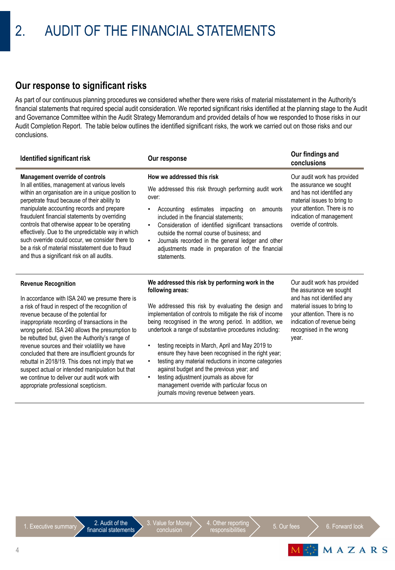### **Our response to significant risks**

As part of our continuous planning procedures we considered whether there were risks of material misstatement in the Authority's financial statements that required special audit consideration. We reported significant risks identified at the planning stage to the Audit and Governance Committee within the Audit Strategy Memorandum and provided details of how we responded to those risks in our Audit Completion Report. The table below outlines the identified significant risks, the work we carried out on those risks and our conclusions.

| Identified significant risk                                                                                                                                                                                                                                                                                                                                                                                                                                                                                                                                                                                                         | Our response                                                                                                                                                                                                                                                                                                                                                                                                                                                                                                                                                                                                                                                                     | Our findings and<br>conclusions                                                                                                                                                                                       |
|-------------------------------------------------------------------------------------------------------------------------------------------------------------------------------------------------------------------------------------------------------------------------------------------------------------------------------------------------------------------------------------------------------------------------------------------------------------------------------------------------------------------------------------------------------------------------------------------------------------------------------------|----------------------------------------------------------------------------------------------------------------------------------------------------------------------------------------------------------------------------------------------------------------------------------------------------------------------------------------------------------------------------------------------------------------------------------------------------------------------------------------------------------------------------------------------------------------------------------------------------------------------------------------------------------------------------------|-----------------------------------------------------------------------------------------------------------------------------------------------------------------------------------------------------------------------|
| <b>Management override of controls</b><br>In all entities, management at various levels<br>within an organisation are in a unique position to<br>perpetrate fraud because of their ability to<br>manipulate accounting records and prepare<br>fraudulent financial statements by overriding<br>controls that otherwise appear to be operating<br>effectively. Due to the unpredictable way in which<br>such override could occur, we consider there to<br>be a risk of material misstatement due to fraud<br>and thus a significant risk on all audits.                                                                             | How we addressed this risk<br>We addressed this risk through performing audit work<br>over:<br>Accounting estimates impacting<br>amounts<br>٠<br>on<br>included in the financial statements;<br>Consideration of identified significant transactions<br>٠<br>outside the normal course of business; and<br>Journals recorded in the general ledger and other<br>٠<br>adjustments made in preparation of the financial<br>statements.                                                                                                                                                                                                                                             | Our audit work has provided<br>the assurance we sought<br>and has not identified any<br>material issues to bring to<br>your attention. There is no<br>indication of management<br>override of controls.               |
| <b>Revenue Recognition</b><br>In accordance with ISA 240 we presume there is<br>a risk of fraud in respect of the recognition of<br>revenue because of the potential for<br>inappropriate recording of transactions in the<br>wrong period. ISA 240 allows the presumption to<br>be rebutted but, given the Authority's range of<br>revenue sources and their volatility we have<br>concluded that there are insufficient grounds for<br>rebuttal in 2018/19. This does not imply that we<br>suspect actual or intended manipulation but that<br>we continue to deliver our audit work with<br>appropriate professional scepticism. | We addressed this risk by performing work in the<br>following areas:<br>We addressed this risk by evaluating the design and<br>implementation of controls to mitigate the risk of income<br>being recognised in the wrong period. In addition, we<br>undertook a range of substantive procedures including:<br>testing receipts in March, April and May 2019 to<br>٠<br>ensure they have been recognised in the right year;<br>testing any material reductions in income categories<br>٠<br>against budget and the previous year; and<br>testing adjustment journals as above for<br>٠<br>management override with particular focus on<br>journals moving revenue between years. | Our audit work has provided<br>the assurance we sought<br>and has not identified any<br>material issues to bring to<br>your attention. There is no<br>indication of revenue being<br>recognised in the wrong<br>year. |

3. Value for Money conclusion

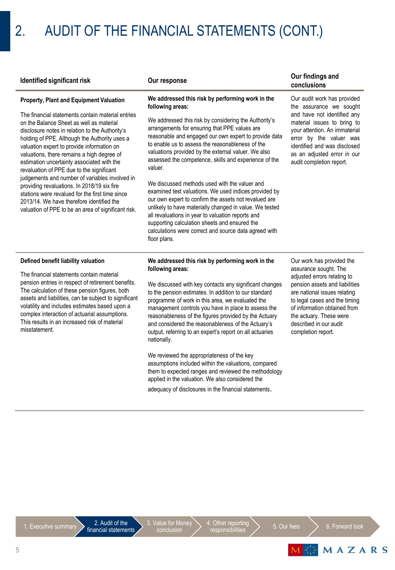# 2. AUDIT OF THE FINANCIAL STATEMENTS (CONT.)

### **Property, Plant and Equipment Valuation**

The financial statements contain material entries on the Balance Sheet as well as material disclosure notes in relation to the Authority's holding of PPE. Although the Authority uses a valuation expert to provide information on valuations, there remains a high degree of estimation uncertainty associated with the revaluation of PPE due to the significant judgements and number of variables involved in providing revaluations. In 2018/19 six fire stations were revalued for the first time since 2013/14. We have therefore identified the valuation of PPE to be an area of significant risk.

### **We addressed this risk by performing work in the following areas:**

We addressed this risk by considering the Authority's arrangements for ensuring that PPE values are reasonable and engaged our own expert to provide data to enable us to assess the reasonableness of the valuations provided by the external valuer. We also assessed the competence, skills and experience of the valuer.

We discussed methods used with the valuer and examined test valuations. We used indices provided by our own expert to confirm the assets not revalued are unlikely to have materially changed in value. We tested all revaluations in year to valuation reports and supporting calculation sheets and ensured the calculations were correct and source data agreed with floor plans.

### **Identified significant risk Our response Our findings and conclusions**

Our audit work has provided the assurance we sought and have not identified any material issues to bring to your attention. An immaterial error by the valuer was identified and was disclosed as an adjusted error in our audit completion report.

### **Defined benefit liability valuation**

The financial statements contain material pension entries in respect of retirement benefits. The calculation of these pension figures, both assets and liabilities, can be subject to significant volatility and includes estimates based upon a complex interaction of actuarial assumptions. This results in an increased risk of material misstatement.

### **We addressed this risk by performing work in the following areas:**

We discussed with key contacts any significant changes to the pension estimates. In addition to our standard programme of work in this area, we evaluated the management controls you have in place to assess the reasonableness of the figures provided by the Actuary and considered the reasonableness of the Actuary's output, referring to an expert's report on all actuaries nationally.

We reviewed the appropriateness of the key assumptions included within the valuations, compared them to expected ranges and reviewed the methodology applied in the valuation. We also considered the adequacy of disclosures in the financial statements.

Our work has provided the assurance sought. The adjusted errors relating to pension assets and liabilities are national issues relating to legal cases and the timing of information obtained from the actuary. These were described in our audit completion report.

3. Value for Money conclusion

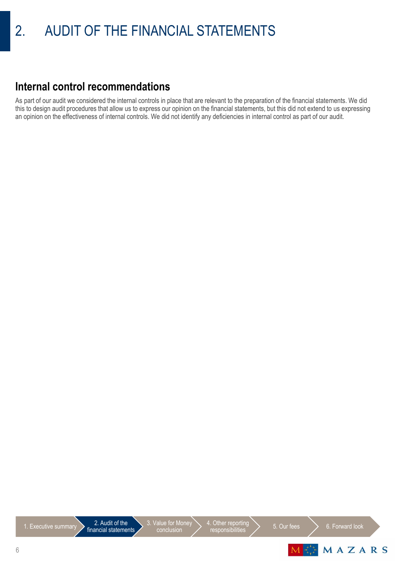### **Internal control recommendations**

As part of our audit we considered the internal controls in place that are relevant to the preparation of the financial statements. We did this to design audit procedures that allow us to express our opinion on the financial statements, but this did not extend to us expressing an opinion on the effectiveness of internal controls. We did not identify any deficiencies in internal control as part of our audit.

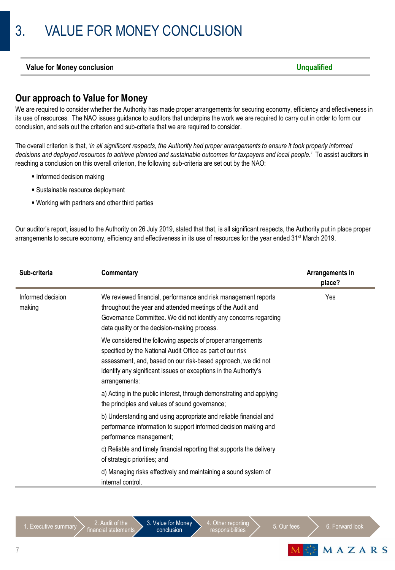# 3. VALUE FOR MONEY CONCLUSION

| <b>Value for Money conclusion</b> | Jnaualified |
|-----------------------------------|-------------|
|                                   |             |

### **Our approach to Value for Money**

We are required to consider whether the Authority has made proper arrangements for securing economy, efficiency and effectiveness in its use of resources. The NAO issues guidance to auditors that underpins the work we are required to carry out in order to form our conclusion, and sets out the criterion and sub-criteria that we are required to consider.

The overall criterion is that, '*in all significant respects, the Authority had proper arrangements to ensure it took properly informed decisions and deployed resources to achieve planned and sustainable outcomes for taxpayers and local people.'* To assist auditors in reaching a conclusion on this overall criterion, the following sub-criteria are set out by the NAO:

- **Informed decision making**
- Sustainable resource deployment
- Working with partners and other third parties

Our auditor's report, issued to the Authority on 26 July 2019, stated that that, is all significant respects, the Authority put in place proper arrangements to secure economy, efficiency and effectiveness in its use of resources for the year ended 31<sup>st</sup> March 2019.

| Sub-criteria                | <b>Commentary</b>                                                                                                                                                                                                                                                              | Arrangements in<br>place? |
|-----------------------------|--------------------------------------------------------------------------------------------------------------------------------------------------------------------------------------------------------------------------------------------------------------------------------|---------------------------|
| Informed decision<br>making | We reviewed financial, performance and risk management reports<br>throughout the year and attended meetings of the Audit and<br>Governance Committee. We did not identify any concerns regarding<br>data quality or the decision-making process.                               | Yes                       |
|                             | We considered the following aspects of proper arrangements<br>specified by the National Audit Office as part of our risk<br>assessment, and, based on our risk-based approach, we did not<br>identify any significant issues or exceptions in the Authority's<br>arrangements: |                           |
|                             | a) Acting in the public interest, through demonstrating and applying<br>the principles and values of sound governance;                                                                                                                                                         |                           |
|                             | b) Understanding and using appropriate and reliable financial and<br>performance information to support informed decision making and<br>performance management;                                                                                                                |                           |
|                             | c) Reliable and timely financial reporting that supports the delivery<br>of strategic priorities; and                                                                                                                                                                          |                           |
|                             | d) Managing risks effectively and maintaining a sound system of<br>internal control.                                                                                                                                                                                           |                           |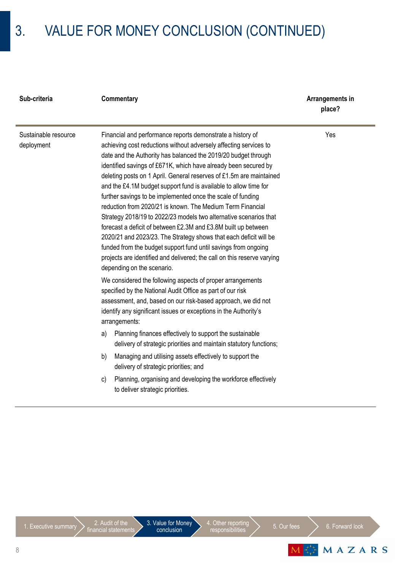# 3. VALUE FOR MONEY CONCLUSION (CONTINUED)

| Sub-criteria         | Commentary                                                 | Arrangements in<br>place? |
|----------------------|------------------------------------------------------------|---------------------------|
| Sustainable resource | Financial and performance reports demonstrate a history of | Yes                       |

### deployment

Financial and performance reports demonstrate a history of achieving cost reductions without adversely affecting services to date and the Authority has balanced the 2019/20 budget through identified savings of £671K, which have already been secured by deleting posts on 1 April. General reserves of £1.5m are maintained and the £4.1M budget support fund is available to allow time for further savings to be implemented once the scale of funding reduction from 2020/21 is known. The Medium Term Financial Strategy 2018/19 to 2022/23 models two alternative scenarios that forecast a deficit of between £2.3M and £3.8M built up between 2020/21 and 2023/23. The Strategy shows that each deficit will be funded from the budget support fund until savings from ongoing projects are identified and delivered; the call on this reserve varying depending on the scenario.

We considered the following aspects of proper arrangements specified by the National Audit Office as part of our risk assessment, and, based on our risk-based approach, we did not identify any significant issues or exceptions in the Authority's arrangements:

- a) Planning finances effectively to support the sustainable delivery of strategic priorities and maintain statutory functions;
- b) Managing and utilising assets effectively to support the delivery of strategic priorities; and
- c) Planning, organising and developing the workforce effectively to deliver strategic priorities.



MAZARS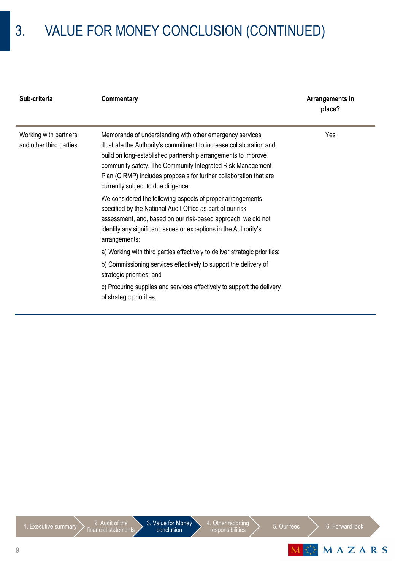# 3. VALUE FOR MONEY CONCLUSION (CONTINUED)

| Sub-criteria                                     | Commentary                                                                                                                                                                                                                                                                                                                                                                  | Arrangements in<br>place? |
|--------------------------------------------------|-----------------------------------------------------------------------------------------------------------------------------------------------------------------------------------------------------------------------------------------------------------------------------------------------------------------------------------------------------------------------------|---------------------------|
| Working with partners<br>and other third parties | Memoranda of understanding with other emergency services<br>illustrate the Authority's commitment to increase collaboration and<br>build on long-established partnership arrangements to improve<br>community safety. The Community Integrated Risk Management<br>Plan (CIRMP) includes proposals for further collaboration that are<br>currently subject to due diligence. | Yes                       |
|                                                  | We considered the following aspects of proper arrangements<br>specified by the National Audit Office as part of our risk<br>assessment, and, based on our risk-based approach, we did not<br>identify any significant issues or exceptions in the Authority's<br>arrangements:                                                                                              |                           |
|                                                  | a) Working with third parties effectively to deliver strategic priorities;<br>b) Commissioning services effectively to support the delivery of<br>strategic priorities; and                                                                                                                                                                                                 |                           |
|                                                  | c) Procuring supplies and services effectively to support the delivery<br>of strategic priorities.                                                                                                                                                                                                                                                                          |                           |

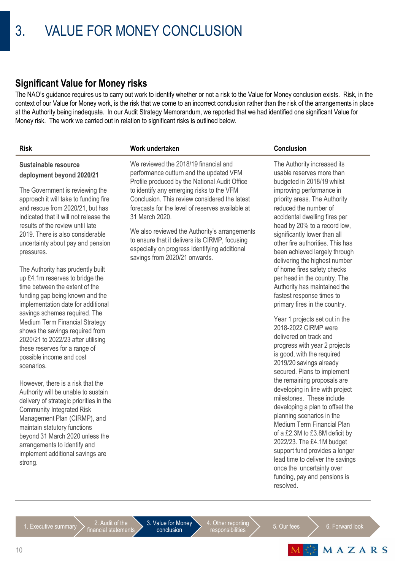### **Significant Value for Money risks**

The NAO's guidance requires us to carry out work to identify whether or not a risk to the Value for Money conclusion exists. Risk, in the context of our Value for Money work, is the risk that we come to an incorrect conclusion rather than the risk of the arrangements in place at the Authority being inadequate. In our Audit Strategy Memorandum, we reported that we had identified one significant Value for Money risk. The work we carried out in relation to significant risks is outlined below.

### **Risk Work undertaken Conclusion**

### **Sustainable resource deployment beyond 2020/21**

The Government is reviewing the approach it will take to funding fire and rescue from 2020/21, but has indicated that it will not release the results of the review until late 2019. There is also considerable uncertainty about pay and pension pressures.

The Authority has prudently built up £4.1m reserves to bridge the time between the extent of the funding gap being known and the implementation date for additional savings schemes required. The Medium Term Financial Strategy shows the savings required from 2020/21 to 2022/23 after utilising these reserves for a range of possible income and cost scenarios.

However, there is a risk that the Authority will be unable to sustain delivery of strategic priorities in the Community Integrated Risk Management Plan (CIRMP), and maintain statutory functions beyond 31 March 2020 unless the arrangements to identify and implement additional savings are strong.

We reviewed the 2018/19 financial and performance outturn and the updated VFM Profile produced by the National Audit Office to identify any emerging risks to the VFM Conclusion. This review considered the latest forecasts for the level of reserves available at 31 March 2020.

We also reviewed the Authority's arrangements to ensure that it delivers its CIRMP, focusing especially on progress identifying additional savings from 2020/21 onwards.

The Authority increased its usable reserves more than budgeted in 2018/19 whilst improving performance in priority areas. The Authority reduced the number of accidental dwelling fires per head by 20% to a record low, significantly lower than all other fire authorities. This has been achieved largely through delivering the highest number of home fires safety checks per head in the country. The Authority has maintained the fastest response times to primary fires in the country.

Year 1 projects set out in the 2018-2022 CIRMP were delivered on track and progress with year 2 projects is good, with the required 2019/20 savings already secured. Plans to implement the remaining proposals are developing in line with project milestones. These include developing a plan to offset the planning scenarios in the Medium Term Financial Plan of a £2.3M to £3.8M deficit by 2022/23. The £4.1M budget support fund provides a longer lead time to deliver the savings once the uncertainty over funding, pay and pensions is resolved.

3. Value for Money conclusion

4. Other reporting Example reporting  $\left.\sum_{n=1}^{\infty}$  5. Our fees  $\sum_{n=1}^{\infty}$  6. Forward look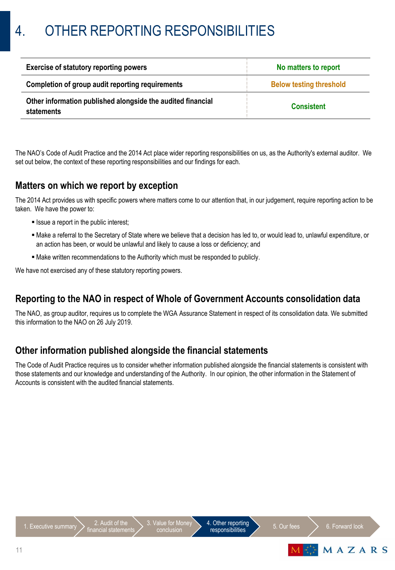| <b>Exercise of statutory reporting powers</b>                             | No matters to report           |  |
|---------------------------------------------------------------------------|--------------------------------|--|
| Completion of group audit reporting requirements                          | <b>Below testing threshold</b> |  |
| Other information published alongside the audited financial<br>statements | <b>Consistent</b>              |  |

The NAO's Code of Audit Practice and the 2014 Act place wider reporting responsibilities on us, as the Authority's external auditor. We set out below, the context of these reporting responsibilities and our findings for each.

### **Matters on which we report by exception**

The 2014 Act provides us with specific powers where matters come to our attention that, in our judgement, require reporting action to be taken. We have the power to:

- **Issue a report in the public interest;**
- Make a referral to the Secretary of State where we believe that a decision has led to, or would lead to, unlawful expenditure, or an action has been, or would be unlawful and likely to cause a loss or deficiency; and
- Make written recommendations to the Authority which must be responded to publicly.

We have not exercised any of these statutory reporting powers.

### **Reporting to the NAO in respect of Whole of Government Accounts consolidation data**

The NAO, as group auditor, requires us to complete the WGA Assurance Statement in respect of its consolidation data. We submitted this information to the NAO on 26 July 2019.

### **Other information published alongside the financial statements**

The Code of Audit Practice requires us to consider whether information published alongside the financial statements is consistent with those statements and our knowledge and understanding of the Authority. In our opinion, the other information in the Statement of Accounts is consistent with the audited financial statements.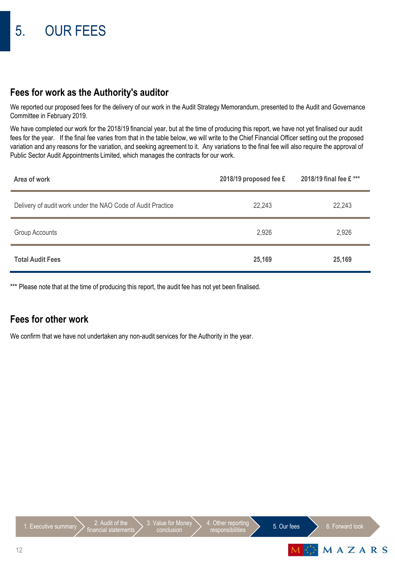### **Fees for work as the Authority's auditor**

We reported our proposed fees for the delivery of our work in the Audit Strategy Memorandum, presented to the Audit and Governance Committee in February 2019.

We have completed our work for the 2018/19 financial year, but at the time of producing this report, we have not yet finalised our audit fees for the year. If the final fee varies from that in the table below, we will write to the Chief Financial Officer setting out the proposed variation and any reasons for the variation, and seeking agreement to it. Any variations to the final fee will also require the approval of Public Sector Audit Appointments Limited, which manages the contracts for our work.

| Area of work                                                | 2018/19 proposed fee £ | 2018/19 final fee £ *** |
|-------------------------------------------------------------|------------------------|-------------------------|
| Delivery of audit work under the NAO Code of Audit Practice | 22,243                 | 22,243                  |
| <b>Group Accounts</b>                                       | 2,926                  | 2,926                   |
| <b>Total Audit Fees</b>                                     | 25,169                 | 25,169                  |

\*\*\* Please note that at the time of producing this report, the audit fee has not yet been finalised.

### **Fees for other work**

We confirm that we have not undertaken any non-audit services for the Authority in the year.

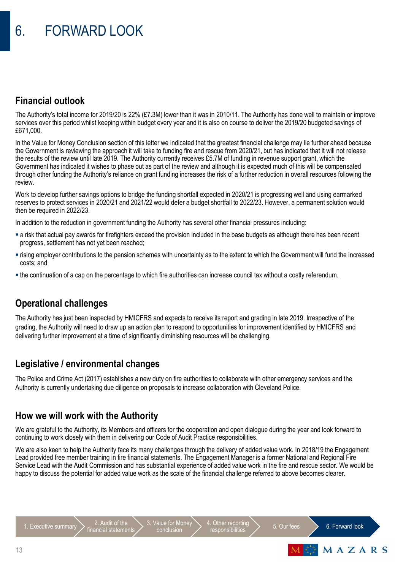### **Financial outlook**

The Authority's total income for 2019/20 is 22% (£7.3M) lower than it was in 2010/11. The Authority has done well to maintain or improve services over this period whilst keeping within budget every year and it is also on course to deliver the 2019/20 budgeted savings of £671,000.

In the Value for Money Conclusion section of this letter we indicated that the greatest financial challenge may lie further ahead because the Government is reviewing the approach it will take to funding fire and rescue from 2020/21, but has indicated that it will not release the results of the review until late 2019. The Authority currently receives £5.7M of funding in revenue support grant, which the Government has indicated it wishes to phase out as part of the review and although it is expected much of this will be compensated through other funding the Authority's reliance on grant funding increases the risk of a further reduction in overall resources following the review.

Work to develop further savings options to bridge the funding shortfall expected in 2020/21 is progressing well and using earmarked reserves to protect services in 2020/21 and 2021/22 would defer a budget shortfall to 2022/23. However, a permanent solution would then be required in 2022/23.

In addition to the reduction in government funding the Authority has several other financial pressures including:

- a risk that actual pay awards for firefighters exceed the provision included in the base budgets as although there has been recent progress, settlement has not yet been reached;
- rising employer contributions to the pension schemes with uncertainty as to the extent to which the Government will fund the increased costs; and
- the continuation of a cap on the percentage to which fire authorities can increase council tax without a costly referendum.

### **Operational challenges**

The Authority has just been inspected by HMICFRS and expects to receive its report and grading in late 2019. Irrespective of the grading, the Authority will need to draw up an action plan to respond to opportunities for improvement identified by HMICFRS and delivering further improvement at a time of significantly diminishing resources will be challenging.

### **Legislative / environmental changes**

The Police and Crime Act (2017) establishes a new duty on fire authorities to collaborate with other emergency services and the Authority is currently undertaking due diligence on proposals to increase collaboration with Cleveland Police.

### **How we will work with the Authority**

We are grateful to the Authority, its Members and officers for the cooperation and open dialogue during the year and look forward to continuing to work closely with them in delivering our Code of Audit Practice responsibilities.

We are also keen to help the Authority face its many challenges through the delivery of added value work. In 2018/19 the Engagement Lead provided free member training in fire financial statements. The Engagement Manager is a former National and Regional Fire Service Lead with the Audit Commission and has substantial experience of added value work in the fire and rescue sector. We would be happy to discuss the potential for added value work as the scale of the financial challenge referred to above becomes clearer.



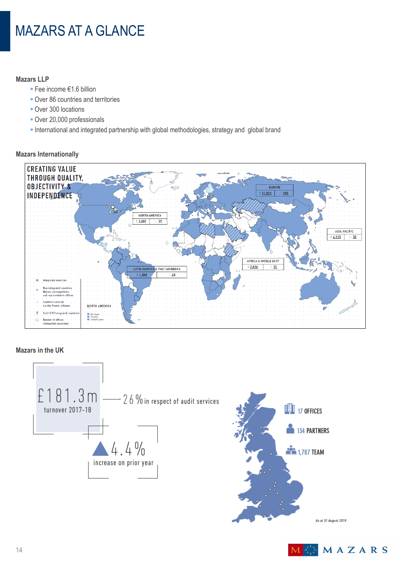# MAZARS AT A GLANCE

### **Mazars LLP**

- Fee income €1.6 billion
- **Over 86 countries and territories**
- **Over 300 locations**
- Over 20,000 professionals
- International and integrated partnership with global methodologies, strategy and global brand



### **Mazars Internationally**

### **Mazars in the UK**